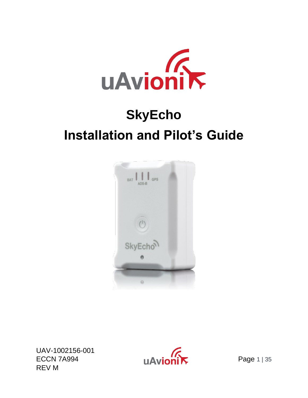

# **SkyEcho Installation and Pilot's Guide**



UAV-1002156-001 ECCN 7A994 Page 1 | 35 REV M

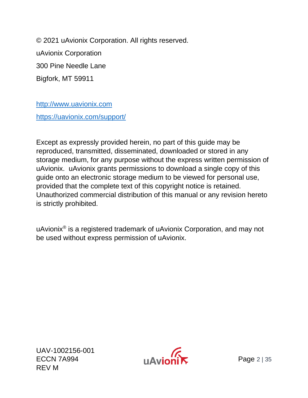© 2021 uAvionix Corporation. All rights reserved. uAvionix Corporation 300 Pine Needle Lane Bigfork, MT 59911

[http://www.uavionix.com](http://www.uavionix.com/) <https://uavionix.com/support/>

Except as expressly provided herein, no part of this guide may be reproduced, transmitted, disseminated, downloaded or stored in any storage medium, for any purpose without the express written permission of uAvionix. uAvionix grants permissions to download a single copy of this guide onto an electronic storage medium to be viewed for personal use, provided that the complete text of this copyright notice is retained. Unauthorized commercial distribution of this manual or any revision hereto is strictly prohibited.

uAvionix® is a registered trademark of uAvionix Corporation, and may not be used without express permission of uAvionix.

UAV-1002156-001  $ECCN 7A994$   $H\Delta$   $N$ REV M

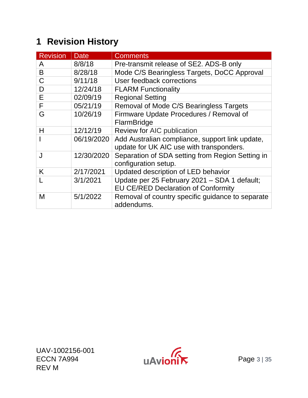### <span id="page-2-0"></span>**1 Revision History**

| <b>Revision</b> | <b>Date</b> | <b>Comments</b>                                                          |
|-----------------|-------------|--------------------------------------------------------------------------|
| A               | 8/8/18      | Pre-transmit release of SE2. ADS-B only                                  |
| B               | 8/28/18     | Mode C/S Bearingless Targets, DoCC Approval                              |
| C               | 9/11/18     | User feedback corrections                                                |
| D               | 12/24/18    | <b>FLARM Functionality</b>                                               |
| E               | 02/09/19    | <b>Regional Setting</b>                                                  |
| F               | 05/21/19    | Removal of Mode C/S Bearingless Targets                                  |
| G               | 10/26/19    | Firmware Update Procedures / Removal of                                  |
|                 |             | FlarmBridge                                                              |
| Н               | 12/12/19    | Review for AIC publication                                               |
|                 | 06/19/2020  | Add Australian compliance, support link update,                          |
|                 |             | update for UK AIC use with transponders.                                 |
| J               | 12/30/2020  | Separation of SDA setting from Region Setting in<br>configuration setup. |
| K               | 2/17/2021   | Updated description of LED behavior                                      |
|                 | 3/1/2021    | Update per 25 February 2021 - SDA 1 default;                             |
|                 |             | <b>EU CE/RED Declaration of Conformity</b>                               |
| M               | 5/1/2022    | Removal of country specific guidance to separate<br>addendums.           |

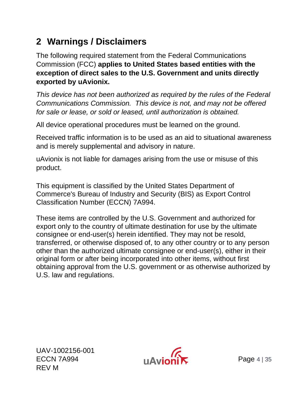### <span id="page-3-0"></span>**2 Warnings / Disclaimers**

The following required statement from the Federal Communications Commission (FCC) **applies to United States based entities with the exception of direct sales to the U.S. Government and units directly exported by uAvionix.**

*This device has not been authorized as required by the rules of the Federal Communications Commission. This device is not, and may not be offered for sale or lease, or sold or leased, until authorization is obtained.*

All device operational procedures must be learned on the ground.

Received traffic information is to be used as an aid to situational awareness and is merely supplemental and advisory in nature.

uAvionix is not liable for damages arising from the use or misuse of this product.

This equipment is classified by the United States Department of Commerce's Bureau of Industry and Security (BIS) as Export Control Classification Number (ECCN) 7A994.

These items are controlled by the U.S. Government and authorized for export only to the country of ultimate destination for use by the ultimate consignee or end-user(s) herein identified. They may not be resold, transferred, or otherwise disposed of, to any other country or to any person other than the authorized ultimate consignee or end-user(s), either in their original form or after being incorporated into other items, without first obtaining approval from the U.S. government or as otherwise authorized by U.S. law and regulations.

UAV-1002156-001 ECCN 7A994 **Page 4 | 35** REV M

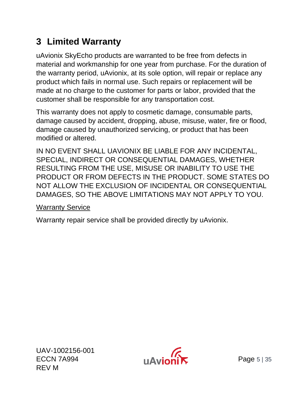### <span id="page-4-0"></span>**3 Limited Warranty**

uAvionix SkyEcho products are warranted to be free from defects in material and workmanship for one year from purchase. For the duration of the warranty period, uAvionix, at its sole option, will repair or replace any product which fails in normal use. Such repairs or replacement will be made at no charge to the customer for parts or labor, provided that the customer shall be responsible for any transportation cost.

This warranty does not apply to cosmetic damage, consumable parts, damage caused by accident, dropping, abuse, misuse, water, fire or flood, damage caused by unauthorized servicing, or product that has been modified or altered.

IN NO EVENT SHALL UAVIONIX BE LIABLE FOR ANY INCIDENTAL, SPECIAL, INDIRECT OR CONSEQUENTIAL DAMAGES, WHETHER RESULTING FROM THE USE, MISUSE OR INABILITY TO USE THE PRODUCT OR FROM DEFECTS IN THE PRODUCT. SOME STATES DO NOT ALLOW THE EXCLUSION OF INCIDENTAL OR CONSEQUENTIAL DAMAGES, SO THE ABOVE LIMITATIONS MAY NOT APPLY TO YOU.

#### Warranty Service

Warranty repair service shall be provided directly by uAvionix.

UAV-1002156-001 ECCN 7A994 **Page 5** | 35 REV M

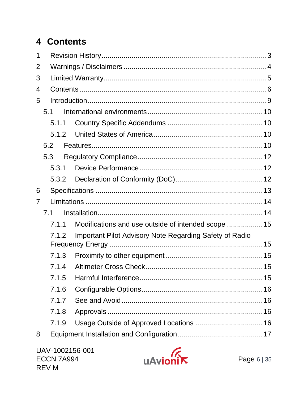## <span id="page-5-0"></span>4 Contents

| 5.1.1 |                                                                |       |
|-------|----------------------------------------------------------------|-------|
| 5.1.2 |                                                                |       |
|       |                                                                |       |
|       |                                                                |       |
| 5.3.1 |                                                                |       |
| 5.3.2 |                                                                |       |
|       |                                                                |       |
|       |                                                                |       |
|       |                                                                |       |
| 7.1.1 | Modifications and use outside of intended scope  15            |       |
| 7.1.2 | <b>Important Pilot Advisory Note Regarding Safety of Radio</b> |       |
|       |                                                                |       |
| 7.1.4 |                                                                |       |
| 7.1.5 |                                                                |       |
| 7.1.6 |                                                                |       |
| 7.1.7 |                                                                |       |
| 7.1.8 |                                                                |       |
| 7.1.9 |                                                                |       |
|       |                                                                |       |
|       | 5.1<br>5.2<br>5.3<br>7.1                                       | 7.1.3 |

UAV-1002156-001 **ECCN 7A994** REV M

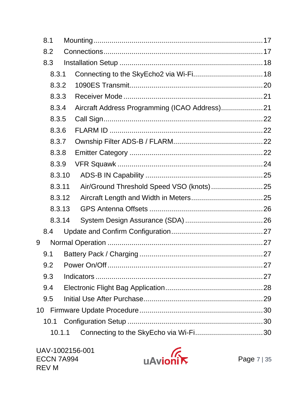| 8.1  |        |                                               |  |
|------|--------|-----------------------------------------------|--|
| 8.2  |        |                                               |  |
| 8.3  |        |                                               |  |
|      | 8.3.1  |                                               |  |
|      | 8.3.2  |                                               |  |
|      | 8.3.3  |                                               |  |
|      | 8.3.4  | Aircraft Address Programming (ICAO Address)21 |  |
|      | 8.3.5  |                                               |  |
|      | 8.3.6  |                                               |  |
|      | 8.3.7  |                                               |  |
|      | 8.3.8  |                                               |  |
|      | 8.3.9  |                                               |  |
|      | 8.3.10 |                                               |  |
|      | 8.3.11 | Air/Ground Threshold Speed VSO (knots)25      |  |
|      | 8.3.12 |                                               |  |
|      | 8.3.13 |                                               |  |
|      | 8.3.14 |                                               |  |
| 8.4  |        |                                               |  |
| 9    |        |                                               |  |
| 9.1  |        |                                               |  |
| 9.2  |        |                                               |  |
| 9.3  |        |                                               |  |
| 9.4  |        |                                               |  |
| 9.5  |        |                                               |  |
| 10   |        |                                               |  |
| 10.1 |        |                                               |  |
|      | 10.1.1 |                                               |  |
|      |        |                                               |  |

UAV-1002156-001 **ECCN 7A994** REV M

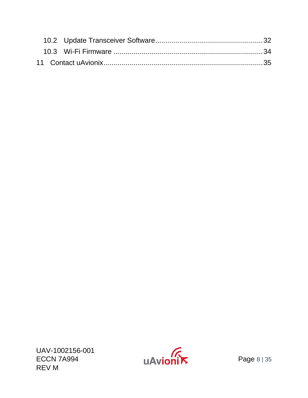UAV-1002156-001 REV M

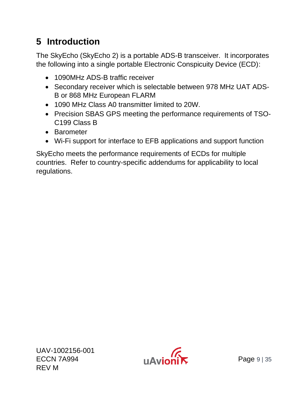### <span id="page-8-0"></span>**5 Introduction**

The SkyEcho (SkyEcho 2) is a portable ADS-B transceiver. It incorporates the following into a single portable Electronic Conspicuity Device (ECD):

- 1090MHz ADS-B traffic receiver
- Secondary receiver which is selectable between 978 MHz UAT ADS-B or 868 MHz European FLARM
- 1090 MHz Class A0 transmitter limited to 20W.
- Precision SBAS GPS meeting the performance requirements of TSO-C199 Class B
- Barometer
- Wi-Fi support for interface to EFB applications and support function

SkyEcho meets the performance requirements of ECDs for multiple countries. Refer to country-specific addendums for applicability to local regulations.

UAV-1002156-001  $ECCN 7A994$   $H\Delta$   $H\Delta$   $Page 9 | 35$ REV M

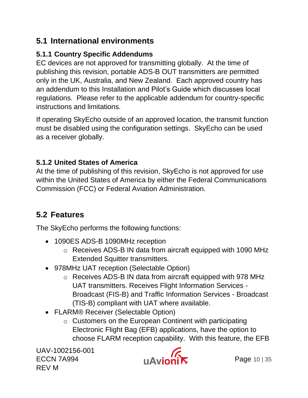### <span id="page-9-0"></span>**5.1 International environments**

#### <span id="page-9-1"></span>**5.1.1 Country Specific Addendums**

EC devices are not approved for transmitting globally. At the time of publishing this revision, portable ADS-B OUT transmitters are permitted only in the UK, Australia, and New Zealand. Each approved country has an addendum to this Installation and Pilot's Guide which discusses local regulations. Please refer to the applicable addendum for country-specific instructions and limitations.

If operating SkyEcho outside of an approved location, the transmit function must be disabled using the configuration settings. SkyEcho can be used as a receiver globally.

#### <span id="page-9-2"></span>**5.1.2 United States of America**

At the time of publishing of this revision, SkyEcho is not approved for use within the United States of America by either the Federal Communications Commission (FCC) or Federal Aviation Administration.

### <span id="page-9-3"></span>**5.2 Features**

The SkyEcho performs the following functions:

- 1090ES ADS-B 1090MHz reception
	- o Receives ADS-B IN data from aircraft equipped with 1090 MHz Extended Squitter transmitters.
- 978MHz UAT reception (Selectable Option)
	- o Receives ADS-B IN data from aircraft equipped with 978 MHz UAT transmitters. Receives Flight Information Services - Broadcast (FIS-B) and Traffic Information Services - Broadcast (TIS-B) compliant with UAT where available.
- FLARM® Receiver (Selectable Option)
	- $\circ$  Customers on the European Continent with participating Electronic Flight Bag (EFB) applications, have the option to choose FLARM reception capability. With this feature, the EFB

UAV-1002156-001  $ECCN 7A994$   $UAvion'$  Page 10 | 35 REV M

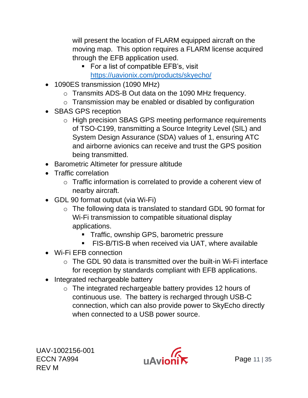will present the location of FLARM equipped aircraft on the moving map. This option requires a FLARM license acquired through the EFB application used.

- For a list of compatible EFB's, visit <https://uavionix.com/products/skyecho/>
- 1090ES transmission (1090 MHz)
	- o Transmits ADS-B Out data on the 1090 MHz frequency.
	- o Transmission may be enabled or disabled by configuration
- SBAS GPS reception
	- o High precision SBAS GPS meeting performance requirements of TSO-C199, transmitting a Source Integrity Level (SIL) and System Design Assurance (SDA) values of 1, ensuring ATC and airborne avionics can receive and trust the GPS position being transmitted.
- Barometric Altimeter for pressure altitude
- Traffic correlation
	- o Traffic information is correlated to provide a coherent view of nearby aircraft.
- GDL 90 format output (via Wi-Fi)
	- o The following data is translated to standard GDL 90 format for Wi-Fi transmission to compatible situational display applications.
		- **•** Traffic, ownship GPS, barometric pressure
		- **EIS-B/TIS-B when received via UAT, where available**
- Wi-Fi EFB connection
	- $\circ$  The GDL 90 data is transmitted over the built-in Wi-Fi interface for reception by standards compliant with EFB applications.
- Integrated rechargeable battery
	- o The integrated rechargeable battery provides 12 hours of continuous use. The battery is recharged through USB-C connection, which can also provide power to SkyEcho directly when connected to a USB power source.

UAV-1002156-001  $UAV-TUUZT56-UUT$ <br>ECCN 7A994  $IJ\Delta V$ REV M

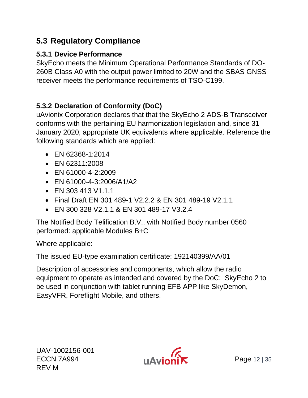### <span id="page-11-0"></span>**5.3 Regulatory Compliance**

#### <span id="page-11-1"></span>**5.3.1 Device Performance**

SkyEcho meets the Minimum Operational Performance Standards of DO-260B Class A0 with the output power limited to 20W and the SBAS GNSS receiver meets the performance requirements of TSO-C199.

#### <span id="page-11-2"></span>**5.3.2 Declaration of Conformity (DoC)**

uAvionix Corporation declares that that the SkyEcho 2 ADS-B Transceiver conforms with the pertaining EU harmonization legislation and, since 31 January 2020, appropriate UK equivalents where applicable. Reference the following standards which are applied:

- EN 62368-1:2014
- EN 62311:2008
- EN 61000-4-2:2009
- EN 61000-4-3:2006/A1/A2
- EN 303 413 V1.1.1
- Final Draft EN 301 489-1 V2.2.2 & EN 301 489-19 V2.1.1
- EN 300 328 V2.1.1 & EN 301 489-17 V3.2.4

The Notified Body Telification B.V., with Notified Body number 0560 performed: applicable Modules B+C

Where applicable:

The issued EU-type examination certificate: 192140399/AA/01

Description of accessories and components, which allow the radio equipment to operate as intended and covered by the DoC: SkyEcho 2 to be used in conjunction with tablet running EFB APP like SkyDemon, EasyVFR, Foreflight Mobile, and others.

UAV-1002156-001 ECCN 7A994 **Page 12** |  $\Delta$   $\mathbf{P}$  |  $\Delta$   $\mathbf{P}$  |  $\Delta$  |  $\mathbf{P}$  |  $\Delta$  |  $\mathbf{P}$  |  $\Delta$  |  $\mathbf{P}$  |  $\Delta$  |  $\mathbf{P}$  |  $\Delta$  |  $\mathbf{P}$  |  $\Delta$  |  $\mathbf{P}$  |  $\Delta$  |  $\mathbf{P}$  |  $\Delta$  |  $\mathbf{P}$  |  $\Delta$  |  $\mathbf{P}$  |  $\Delta$ REV M

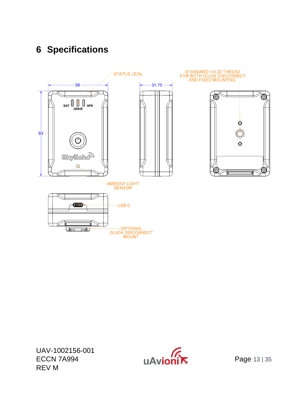### <span id="page-12-0"></span>**6 Specifications**



UAV-1002156-001 ECCN 7A994 **Page 13** | 35 REV M

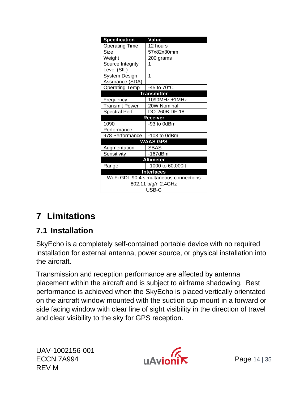| <b>Specification</b>                    | <b>Value</b>       |  |  |
|-----------------------------------------|--------------------|--|--|
| <b>Operating Time</b>                   | 12 hours           |  |  |
| Size                                    | 57x82x30mm         |  |  |
| Weight                                  | 200 grams          |  |  |
| Source Integrity                        |                    |  |  |
| Level (SIL)                             |                    |  |  |
| System Design                           | 1                  |  |  |
| Assurance (SDA)                         |                    |  |  |
| <b>Operating Temp</b>                   | -45 to 70°C        |  |  |
|                                         | <b>Transmitter</b> |  |  |
| Frequency                               | 1090MHz ±1MHz      |  |  |
| <b>Transmit Power</b>                   | 20W Nominal        |  |  |
| Spectral Perf.                          | DO-260B DF-18      |  |  |
|                                         | Receiver           |  |  |
| 1090                                    | -93 to 0dBm        |  |  |
| Performance                             |                    |  |  |
| 978 Performance                         | $-103$ to 0dBm     |  |  |
| <b>WAAS GPS</b>                         |                    |  |  |
| Augmentation                            | <b>SBAS</b>        |  |  |
| Sensitivity                             | -167dBm            |  |  |
| <b>Altimeter</b>                        |                    |  |  |
| Range                                   | -1000 to 60,000ft  |  |  |
| <b>Interfaces</b>                       |                    |  |  |
| Wi-Fi GDL 90 4 simultaneous connections |                    |  |  |
| 802.11 b/g/n 2.4GHz                     |                    |  |  |
|                                         | USB-C              |  |  |

## <span id="page-13-0"></span>**7 Limitations**

### <span id="page-13-1"></span>**7.1 Installation**

SkyEcho is a completely self-contained portable device with no required installation for external antenna, power source, or physical installation into the aircraft.

Transmission and reception performance are affected by antenna placement within the aircraft and is subject to airframe shadowing. Best performance is achieved when the SkyEcho is placed vertically orientated on the aircraft window mounted with the suction cup mount in a forward or side facing window with clear line of sight visibility in the direction of travel and clear visibility to the sky for GPS reception.

UAV-1002156-001 UAV-1002156-001<br>ECCN 7A994 **Page 14 | 35** REV M

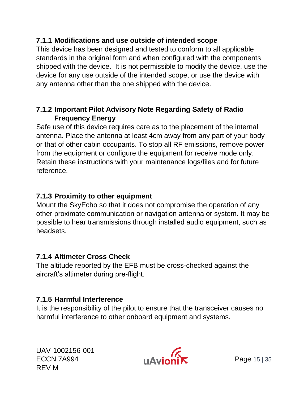#### <span id="page-14-0"></span>**7.1.1 Modifications and use outside of intended scope**

This device has been designed and tested to conform to all applicable standards in the original form and when configured with the components shipped with the device. It is not permissible to modify the device, use the device for any use outside of the intended scope, or use the device with any antenna other than the one shipped with the device.

#### <span id="page-14-1"></span>**7.1.2 Important Pilot Advisory Note Regarding Safety of Radio Frequency Energy**

Safe use of this device requires care as to the placement of the internal antenna. Place the antenna at least 4cm away from any part of your body or that of other cabin occupants. To stop all RF emissions, remove power from the equipment or configure the equipment for receive mode only. Retain these instructions with your maintenance logs/files and for future reference.

#### <span id="page-14-2"></span>**7.1.3 Proximity to other equipment**

Mount the SkyEcho so that it does not compromise the operation of any other proximate communication or navigation antenna or system. It may be possible to hear transmissions through installed audio equipment, such as headsets.

#### <span id="page-14-3"></span>**7.1.4 Altimeter Cross Check**

The altitude reported by the EFB must be cross-checked against the aircraft's altimeter during pre-flight.

#### <span id="page-14-4"></span>**7.1.5 Harmful Interference**

It is the responsibility of the pilot to ensure that the transceiver causes no harmful interference to other onboard equipment and systems.

UAV-1002156-001 ECCN 7A994 **Page 15 | 35** REV M

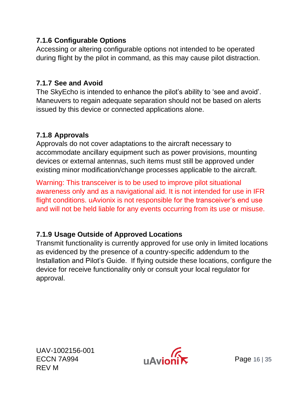#### <span id="page-15-0"></span>**7.1.6 Configurable Options**

Accessing or altering configurable options not intended to be operated during flight by the pilot in command, as this may cause pilot distraction.

#### <span id="page-15-1"></span>**7.1.7 See and Avoid**

The SkyEcho is intended to enhance the pilot's ability to 'see and avoid'. Maneuvers to regain adequate separation should not be based on alerts issued by this device or connected applications alone.

#### <span id="page-15-2"></span>**7.1.8 Approvals**

Approvals do not cover adaptations to the aircraft necessary to accommodate ancillary equipment such as power provisions, mounting devices or external antennas, such items must still be approved under existing minor modification/change processes applicable to the aircraft.

Warning: This transceiver is to be used to improve pilot situational awareness only and as a navigational aid. It is not intended for use in IFR flight conditions. uAvionix is not responsible for the transceiver's end use and will not be held liable for any events occurring from its use or misuse.

#### <span id="page-15-3"></span>**7.1.9 Usage Outside of Approved Locations**

Transmit functionality is currently approved for use only in limited locations as evidenced by the presence of a country-specific addendum to the Installation and Pilot's Guide. If flying outside these locations, configure the device for receive functionality only or consult your local regulator for approval.

UAV-1002156-001 ECCN 7A994 **Page 16 | 35** REV M

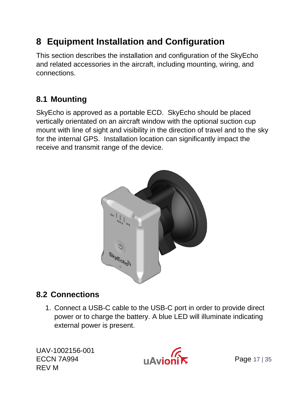### <span id="page-16-0"></span>**8 Equipment Installation and Configuration**

This section describes the installation and configuration of the SkyEcho and related accessories in the aircraft, including mounting, wiring, and connections.

### <span id="page-16-1"></span>**8.1 Mounting**

SkyEcho is approved as a portable ECD. SkyEcho should be placed vertically orientated on an aircraft window with the optional suction cup mount with line of sight and visibility in the direction of travel and to the sky for the internal GPS. Installation location can significantly impact the receive and transmit range of the device.



### <span id="page-16-2"></span>**8.2 Connections**

1. Connect a USB-C cable to the USB-C port in order to provide direct power or to charge the battery. A blue LED will illuminate indicating external power is present.

UAV-1002156-001 UAV-1002156-001<br>ECCN 7A994 **Page 17 | 35** REV M

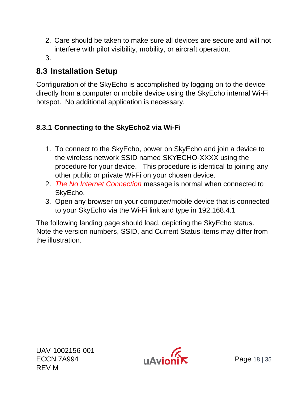- 2. Care should be taken to make sure all devices are secure and will not interfere with pilot visibility, mobility, or aircraft operation.
- 3.

#### <span id="page-17-0"></span>**8.3 Installation Setup**

Configuration of the SkyEcho is accomplished by logging on to the device directly from a computer or mobile device using the SkyEcho internal Wi-Fi hotspot. No additional application is necessary.

#### <span id="page-17-1"></span>**8.3.1 Connecting to the SkyEcho2 via Wi-Fi**

- 1. To connect to the SkyEcho, power on SkyEcho and join a device to the wireless network SSID named SKYECHO-XXXX using the procedure for your device. This procedure is identical to joining any other public or private Wi-Fi on your chosen device.
- 2. *The No Internet Connection* message is normal when connected to SkyEcho.
- 3. Open any browser on your computer/mobile device that is connected to your SkyEcho via the Wi-Fi link and type in 192.168.4.1

The following landing page should load, depicting the SkyEcho status. Note the version numbers, SSID, and Current Status items may differ from the illustration.

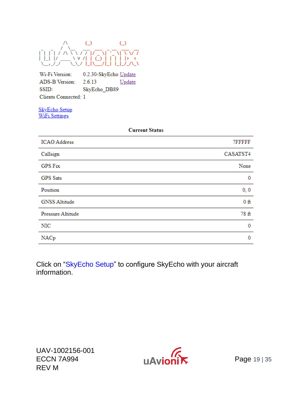

Wi-Fi Version: 0.2.30-SkyEcho Update ADS-B Version: 2.6.13 Update SSID: SkyEcho\_DB89 Clients Connected: 1

**SkyEcho Setup WiFi Settings** 

| <b>Current Status</b> |          |
|-----------------------|----------|
| <b>ICAO</b> Address   | 7FFFFF   |
| Callsign              | CASATST4 |
| <b>GPS Fix</b>        | None     |
| <b>GPS</b> Sats       | 0        |
| Position              | 0, 0     |
| <b>GNSS Altitude</b>  | $0$ ft   |
| Pressure Altitude     | 78 ft    |
| <b>NIC</b>            | 0        |
| NACp                  | 0        |

Click on "SkyEcho Setup" to configure SkyEcho with your aircraft information.

UAV-1002156-001 ECCN 7A994 **Hall Contract Contract Contract Contract Contract Contract Contract Contract Contract Contract Contract Contract Contract Contract Contract Contract Contract Contract Contract Contract Contract Contract Contra** REV M

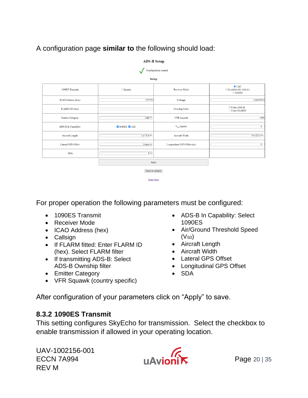#### A configuration page **similar to** the following should load:

| ADS-D Stup               |                              |                              |                                                   |  |
|--------------------------|------------------------------|------------------------------|---------------------------------------------------|--|
| Configuration loaded.    |                              |                              |                                                   |  |
|                          | <b>Setup</b>                 |                              |                                                   |  |
| 1090ES Transmit:         | $\Box$ Enable                | Receiver Mode:               | $\odot$ UAT<br>OFLARM (EU ONLY)<br><b>@1090ES</b> |  |
| ICAO Address (hex):      | 7FFFFFF                      | Callsign:                    | CASATST4                                          |  |
| FLARM ID (hex):          |                              | Ownship Filter:              | Filter ADS-B<br>Filter FLARM                      |  |
| <b>Emitter Category:</b> | $Light \sim$                 | VFR Squawk:                  | 1200                                              |  |
| ADS-B In Capability:     | <b>7</b> 1090ES <b>7</b> UAT | $V_{so}$ (knots):            | $\bullet$                                         |  |
| Aircraft Length:         | $L \leq 15$ m $\sim$         | Aircraft Width:              | $W \leq 23$ m $\sim$                              |  |
| Lateral GPS Offset:      | Center $\vee$                | Longitudinal GPS Offset (m): | $\bullet$                                         |  |
| <b>SDA</b>               | $0 -$                        |                              |                                                   |  |
| Apply                    |                              |                              |                                                   |  |
| <b>Reset to defaults</b> |                              |                              |                                                   |  |
| Main Page                |                              |                              |                                                   |  |

ADS B Sotun

For proper operation the following parameters must be configured:

- 1090ES Transmit
- Receiver Mode
- ICAO Address (hex)
- Callsign
- If FLARM fitted: Enter FLARM ID (hex). Select FLARM filter
- If transmitting ADS-B: Select ADS-B Ownship filter
- Emitter Category
- VFR Squawk (country specific)
- ADS-B In Capability: Select 1090ES
- Air/Ground Threshold Speed  $(V<sub>SO</sub>)$
- Aircraft Length
- Aircraft Width
- Lateral GPS Offset
- Longitudinal GPS Offset
- SDA

After configuration of your parameters click on "Apply" to save.

#### <span id="page-19-0"></span>**8.3.2 1090ES Transmit**

This setting configures SkyEcho for transmission. Select the checkbox to enable transmission if allowed in your operating location.

UAV-1002156-001 UAV-1002156-001<br>ECCN 7A994 **Page 20 | 35** REV M

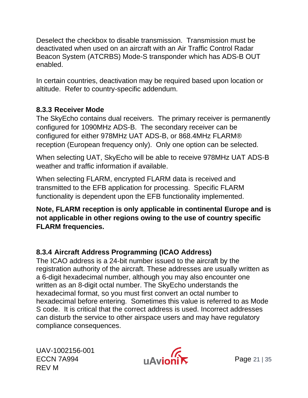Deselect the checkbox to disable transmission. Transmission must be deactivated when used on an aircraft with an Air Traffic Control Radar Beacon System (ATCRBS) Mode-S transponder which has ADS-B OUT enabled.

In certain countries, deactivation may be required based upon location or altitude. Refer to country-specific addendum.

#### <span id="page-20-0"></span>**8.3.3 Receiver Mode**

The SkyEcho contains dual receivers. The primary receiver is permanently configured for 1090MHz ADS-B. The secondary receiver can be configured for either 978MHz UAT ADS-B, or 868.4MHz FLARM® reception (European frequency only). Only one option can be selected.

When selecting UAT, SkyEcho will be able to receive 978MHz UAT ADS-B weather and traffic information if available.

When selecting FLARM, encrypted FLARM data is received and transmitted to the EFB application for processing. Specific FLARM functionality is dependent upon the EFB functionality implemented.

#### **Note, FLARM reception is only applicable in continental Europe and is not applicable in other regions owing to the use of country specific FLARM frequencies.**

#### <span id="page-20-1"></span>**8.3.4 Aircraft Address Programming (ICAO Address)**

The ICAO address is a 24-bit number issued to the aircraft by the registration authority of the aircraft. These addresses are usually written as a 6-digit hexadecimal number, although you may also encounter one written as an 8-digit octal number. The SkyEcho understands the hexadecimal format, so you must first convert an octal number to hexadecimal before entering. Sometimes this value is referred to as Mode S code. It is critical that the correct address is used. Incorrect addresses can disturb the service to other airspace users and may have regulatory compliance consequences.

UAV-1002156-001  $UAV-1002156-001$ <br>ECCN 7A994 **Page 21 | 35** REV M

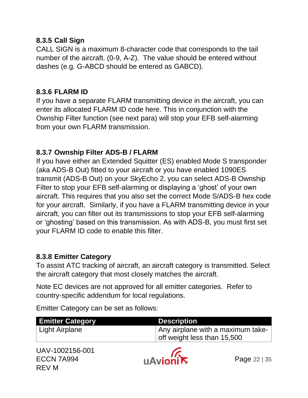#### <span id="page-21-0"></span>**8.3.5 Call Sign**

CALL SIGN is a maximum 8-character code that corresponds to the tail number of the aircraft. (0-9, A-Z). The value should be entered without dashes (e.g. G-ABCD should be entered as GABCD).

#### <span id="page-21-1"></span>**8.3.6 FLARM ID**

If you have a separate FLARM transmitting device in the aircraft, you can enter its allocated FLARM ID code here. This in conjunction with the Ownship Filter function (see next para) will stop your EFB self-alarming from your own FLARM transmission.

#### <span id="page-21-2"></span>**8.3.7 Ownship Filter ADS-B / FLARM**

If you have either an Extended Squitter (ES) enabled Mode S transponder (aka ADS-B Out) fitted to your aircraft or you have enabled 1090ES transmit (ADS-B Out) on your SkyEcho 2, you can select ADS-B Ownship Filter to stop your EFB self-alarming or displaying a 'ghost' of your own aircraft. This requires that you also set the correct Mode S/ADS-B hex code for your aircraft. Similarly, if you have a FLARM transmitting device in your aircraft, you can filter out its transmissions to stop your EFB self-alarming or 'ghosting' based on this transmission. As with ADS-B, you must first set your FLARM ID code to enable this filter.

#### <span id="page-21-3"></span>**8.3.8 Emitter Category**

To assist ATC tracking of aircraft, an aircraft category is transmitted. Select the aircraft category that most closely matches the aircraft.

Note EC devices are not approved for all emitter categories. Refer to country-specific addendum for local regulations.

**Emitter Category <b>Description** Light Airplane  $\vert$  Any airplane with a maximum takeoff weight less than 15,500

Emitter Category can be set as follows:

| UAV-1002156-001 |  |
|-----------------|--|
| ECCN 7A994      |  |
| REV M           |  |

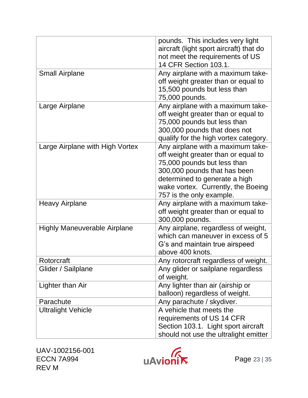|                                     | pounds. This includes very light<br>aircraft (light sport aircraft) that do<br>not meet the requirements of US<br>14 CFR Section 103.1.                                                                                                    |
|-------------------------------------|--------------------------------------------------------------------------------------------------------------------------------------------------------------------------------------------------------------------------------------------|
| <b>Small Airplane</b>               | Any airplane with a maximum take-<br>off weight greater than or equal to<br>15,500 pounds but less than<br>75,000 pounds.                                                                                                                  |
| Large Airplane                      | Any airplane with a maximum take-<br>off weight greater than or equal to<br>75,000 pounds but less than<br>300,000 pounds that does not<br>qualify for the high vortex category.                                                           |
| Large Airplane with High Vortex     | Any airplane with a maximum take-<br>off weight greater than or equal to<br>75,000 pounds but less than<br>300,000 pounds that has been<br>determined to generate a high<br>wake vortex. Currently, the Boeing<br>757 is the only example. |
| <b>Heavy Airplane</b>               | Any airplane with a maximum take-<br>off weight greater than or equal to<br>300,000 pounds.                                                                                                                                                |
| <b>Highly Maneuverable Airplane</b> | Any airplane, regardless of weight,<br>which can maneuver in excess of 5<br>G's and maintain true airspeed<br>above 400 knots.                                                                                                             |
| Rotorcraft                          | Any rotorcraft regardless of weight.                                                                                                                                                                                                       |
| Glider / Sailplane                  | Any glider or sailplane regardless<br>of weight.                                                                                                                                                                                           |
| Lighter than Air                    | Any lighter than air (airship or<br>balloon) regardless of weight.                                                                                                                                                                         |
| Parachute                           | Any parachute / skydiver.                                                                                                                                                                                                                  |
| <b>Ultralight Vehicle</b>           | A vehicle that meets the<br>requirements of US 14 CFR<br>Section 103.1. Light sport aircraft<br>should not use the ultralight emitter                                                                                                      |

UAV-1002156-001 REV M

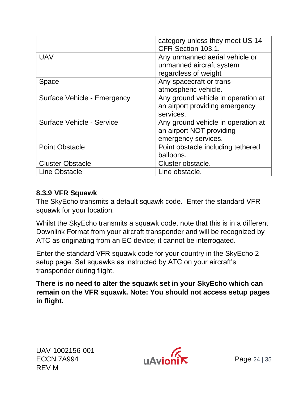|                             | category unless they meet US 14<br>CFR Section 103.1.                                 |
|-----------------------------|---------------------------------------------------------------------------------------|
| <b>UAV</b>                  | Any unmanned aerial vehicle or<br>unmanned aircraft system<br>regardless of weight    |
| <b>Space</b>                | Any spacecraft or trans-<br>atmospheric vehicle.                                      |
| Surface Vehicle - Emergency | Any ground vehicle in operation at<br>an airport providing emergency<br>services.     |
| Surface Vehicle - Service   | Any ground vehicle in operation at<br>an airport NOT providing<br>emergency services. |
| <b>Point Obstacle</b>       | Point obstacle including tethered<br>balloons.                                        |
| <b>Cluster Obstacle</b>     | Cluster obstacle.                                                                     |
| <b>Line Obstacle</b>        | Line obstacle.                                                                        |

#### <span id="page-23-0"></span>**8.3.9 VFR Squawk**

The SkyEcho transmits a default squawk code. Enter the standard VFR squawk for your location.

Whilst the SkyEcho transmits a squawk code, note that this is in a different Downlink Format from your aircraft transponder and will be recognized by ATC as originating from an EC device; it cannot be interrogated.

Enter the standard VFR squawk code for your country in the SkyEcho 2 setup page. Set squawks as instructed by ATC on your aircraft's transponder during flight.

**There is no need to alter the squawk set in your SkyEcho which can remain on the VFR squawk. Note: You should not access setup pages in flight.**

UAV-1002156-001  $UAV-100Z156-001$ <br>ECCN 7A994  $IAVIONR$  Page 24 | 35 REV M

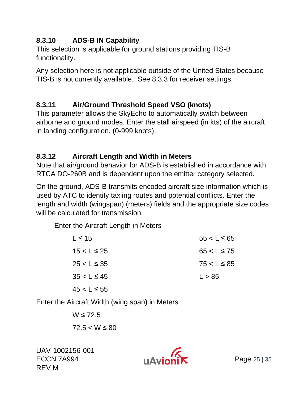#### <span id="page-24-0"></span>**8.3.10 ADS-B IN Capability**

This selection is applicable for ground stations providing TIS-B functionality.

Any selection here is not applicable outside of the United States because TIS-B is not currently available. See [8.3.3](#page-20-0) for receiver settings.

#### <span id="page-24-1"></span>**8.3.11 Air/Ground Threshold Speed VSO (knots)**

This parameter allows the SkyEcho to automatically switch between airborne and ground modes. Enter the stall airspeed (in kts) of the aircraft in landing configuration. (0-999 knots).

#### <span id="page-24-2"></span>**8.3.12 Aircraft Length and Width in Meters**

Note that air/ground behavior for ADS-B is established in accordance with RTCA DO-260B and is dependent upon the emitter category selected.

On the ground, ADS-B transmits encoded aircraft size information which is used by ATC to identify taxiing routes and potential conflicts. Enter the length and width (wingspan) (meters) fields and the appropriate size codes will be calculated for transmission.

Enter the Aircraft Length in Meters

| $L \leq 15$      | $55 < L \le 65$  |
|------------------|------------------|
| $15 < L \le 25$  | $65 < L \leq 75$ |
| $25 < L \leq 35$ | $75 < L \le 85$  |
| $35 < L \le 45$  | L > 85           |
| $45 < L \le 55$  |                  |

Enter the Aircraft Width (wing span) in Meters

 $W \le 72.5$  $72.5 < W \leq 80$ 

UAV-1002156-001 ECCN 7A994 **Page 25 | 35** REV M

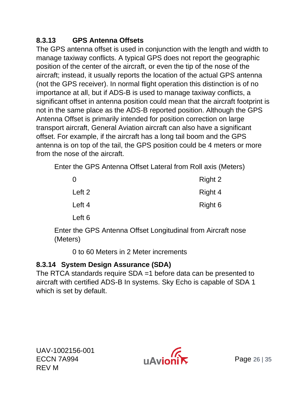#### <span id="page-25-0"></span>**8.3.13 GPS Antenna Offsets**

The GPS antenna offset is used in conjunction with the length and width to manage taxiway conflicts. A typical GPS does not report the geographic position of the center of the aircraft, or even the tip of the nose of the aircraft; instead, it usually reports the location of the actual GPS antenna (not the GPS receiver). In normal flight operation this distinction is of no importance at all, but if ADS-B is used to manage taxiway conflicts, a significant offset in antenna position could mean that the aircraft footprint is not in the same place as the ADS-B reported position. Although the GPS Antenna Offset is primarily intended for position correction on large transport aircraft, General Aviation aircraft can also have a significant offset. For example, if the aircraft has a long tail boom and the GPS antenna is on top of the tail, the GPS position could be 4 meters or more from the nose of the aircraft.

Enter the GPS Antenna Offset Lateral from Roll axis (Meters)

| 0      | Right 2 |
|--------|---------|
| Left 2 | Right 4 |
| Left 4 | Right 6 |
| Left 6 |         |

Enter the GPS Antenna Offset Longitudinal from Aircraft nose (Meters)

0 to 60 Meters in 2 Meter increments

#### <span id="page-25-1"></span>**8.3.14 System Design Assurance (SDA)**

The RTCA standards require SDA =1 before data can be presented to aircraft with certified ADS-B In systems. Sky Echo is capable of SDA 1 which is set by default.

UAV-1002156-001  $ECCN$  7A994  $U/N$ REV M

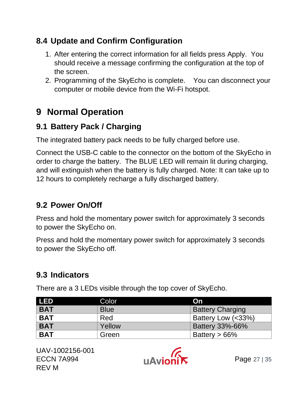### <span id="page-26-0"></span>**8.4 Update and Confirm Configuration**

- 1. After entering the correct information for all fields press Apply. You should receive a message confirming the configuration at the top of the screen.
- 2. Programming of the SkyEcho is complete. You can disconnect your computer or mobile device from the Wi-Fi hotspot.

### <span id="page-26-1"></span>**9 Normal Operation**

### <span id="page-26-2"></span>**9.1 Battery Pack / Charging**

The integrated battery pack needs to be fully charged before use.

Connect the USB-C cable to the connector on the bottom of the SkyEcho in order to charge the battery. The BLUE LED will remain lit during charging, and will extinguish when the battery is fully charged. Note: It can take up to 12 hours to completely recharge a fully discharged battery.

### <span id="page-26-3"></span>**9.2 Power On/Off**

Press and hold the momentary power switch for approximately 3 seconds to power the SkyEcho on.

Press and hold the momentary power switch for approximately 3 seconds to power the SkyEcho off.

### <span id="page-26-4"></span>**9.3 Indicators**

There are a 3 LEDs visible through the top cover of SkyEcho.

| <b>LED</b> | Color       | On                           |
|------------|-------------|------------------------------|
| <b>BAT</b> | <b>Blue</b> | <b>Battery Charging</b>      |
| <b>BAT</b> | Red         | <b>Battery Low (&lt;33%)</b> |
| <b>BAT</b> | Yellow      | <b>Battery 33%-66%</b>       |
| <b>BAT</b> | Green       | Battery $> 66\%$             |

UAV-1002156-001  $ECCN$  7A994 **Page 27** | 35 REV M

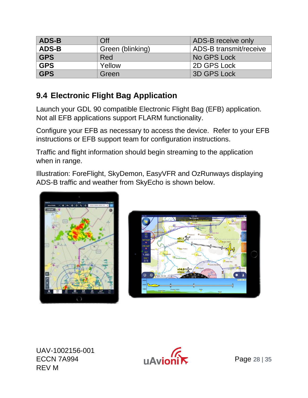| <b>ADS-B</b>                     | Off<br>ADS-B receive only |                               |  |  |
|----------------------------------|---------------------------|-------------------------------|--|--|
| <b>ADS-B</b><br>Green (blinking) |                           | <b>ADS-B transmit/receive</b> |  |  |
| <b>GPS</b><br>Red                |                           | No GPS Lock                   |  |  |
| <b>GPS</b><br>Yellow             |                           | 2D GPS Lock                   |  |  |
| <b>GPS</b>                       | Green                     | <b>3D GPS Lock</b>            |  |  |

#### <span id="page-27-0"></span>**9.4 Electronic Flight Bag Application**

Launch your GDL 90 compatible Electronic Flight Bag (EFB) application. Not all EFB applications support FLARM functionality.

Configure your EFB as necessary to access the device. Refer to your EFB instructions or EFB support team for configuration instructions.

Traffic and flight information should begin streaming to the application when in range.

Illustration: ForeFlight, SkyDemon, EasyVFR and OzRunways displaying ADS-B traffic and weather from SkyEcho is shown below.





UAV-1002156-001  $ECCN 7A994$   $HAVion'$  Page 28 | 35 REV M

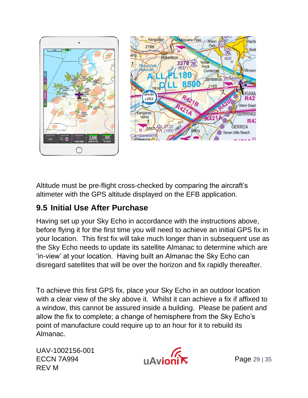

Altitude must be pre-flight cross-checked by comparing the aircraft's altimeter with the GPS altitude displayed on the EFB application.

#### <span id="page-28-0"></span>**9.5 Initial Use After Purchase**

Having set up your Sky Echo in accordance with the instructions above, before flying it for the first time you will need to achieve an initial GPS fix in your location. This first fix will take much longer than in subsequent use as the Sky Echo needs to update its satellite Almanac to determine which are 'in-view' at your location. Having built an Almanac the Sky Echo can disregard satellites that will be over the horizon and fix rapidly thereafter.

To achieve this first GPS fix, place your Sky Echo in an outdoor location with a clear view of the sky above it. Whilst it can achieve a fix if affixed to a window, this cannot be assured inside a building. Please be patient and allow the fix to complete; a change of hemisphere from the Sky Echo's point of manufacture could require up to an hour for it to rebuild its Almanac.

UAV-1002156-001  $ECCN$  7A994  $N$   $N$ REV M

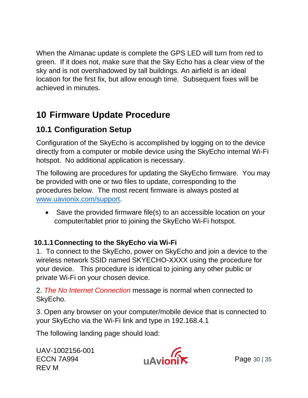When the Almanac update is complete the GPS LED will turn from red to green. If it does not, make sure that the Sky Echo has a clear view of the sky and is not overshadowed by tall buildings. An airfield is an ideal location for the first fix, but allow enough time. Subsequent fixes will be achieved in minutes.

### <span id="page-29-0"></span>**10 Firmware Update Procedure**

### <span id="page-29-1"></span>**10.1 Configuration Setup**

Configuration of the SkyEcho is accomplished by logging on to the device directly from a computer or mobile device using the SkyEcho internal Wi-Fi hotspot. No additional application is necessary.

The following are procedures for updating the SkyEcho firmware. You may be provided with one or two files to update, corresponding to the procedures below. The most recent firmware is always posted at [www.uavionix.com/support.](file:///C:/Users/greg/AppData/Local/Microsoft/Windows/INetCache/Content.Outlook/5QPEPVF3/www.uavionix.com/support)

• Save the provided firmware file(s) to an accessible location on your computer/tablet prior to joining the SkyEcho Wi-Fi hotspot.

#### <span id="page-29-2"></span>**10.1.1Connecting to the SkyEcho via Wi-Fi**

1. To connect to the SkyEcho, power on SkyEcho and join a device to the wireless network SSID named SKYECHO-XXXX using the procedure for your device. This procedure is identical to joining any other public or private Wi-Fi on your chosen device.

2. *The No Internet Connection* message is normal when connected to SkyEcho.

3. Open any browser on your computer/mobile device that is connected to your SkyEcho via the Wi-Fi link and type in 192.168.4.1

The following landing page should load:

UAV-1002156-001  $UAV-1002156-001$ <br>ECCN 7A994 **Page 30** | 35 REV M

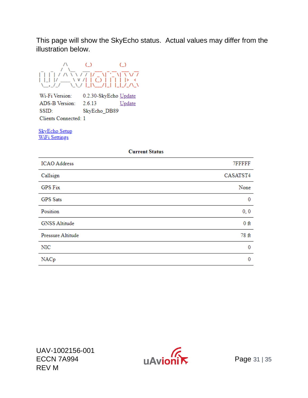This page will show the SkyEcho status. Actual values may differ from the illustration below.



Wi-Fi Version: 0.2.30-SkyEcho Update ADS-B Version: 2.6.13 Update SSID: SkyEcho DB89 Clients Connected: 1

**SkyEcho Setup WiFi Settings** 

#### **Current Status**

| <b>ICAO</b> Address  | 7FFFFF   |
|----------------------|----------|
| Callsign             | CASATST4 |
| <b>GPS Fix</b>       | None     |
| <b>GPS</b> Sats      | 0        |
| Position             | 0, 0     |
| <b>GNSS Altitude</b> | $0$ ft   |
| Pressure Altitude    | 78 ft    |
| NIC                  | $\bf{0}$ |
| NACp                 | 0        |

UAV-1002156-001 ECCN 7A994 Page 31 | 35 REV M

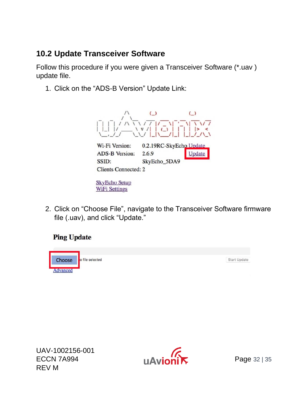#### <span id="page-31-0"></span>**10.2 Update Transceiver Software**

Follow this procedure if you were given a Transceiver Software (\*.uav ) update file.

1. Click on the "ADS-B Version" Update Link:



2. Click on "Choose File", navigate to the Transceiver Software firmware file (.uav), and click "Update."

#### **Ping Update**



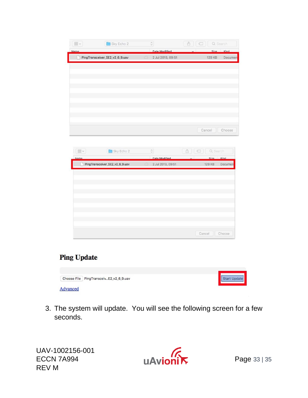| $\sim \frac{000}{000}$ | Sky Echo 2                     | $\hat{\mathbb{C}}$   | ① Q Search        |
|------------------------|--------------------------------|----------------------|-------------------|
| <b>Name</b>            |                                | <b>Date Modified</b> | Size Kind         |
|                        | PingTransceiver_SE2_v2_6_9.uav | 2 Jul 2019, 09:51    | Documen<br>129 KB |
|                        |                                |                      |                   |
|                        |                                |                      |                   |
|                        |                                |                      |                   |
|                        |                                |                      |                   |
|                        |                                |                      |                   |
|                        |                                |                      |                   |
|                        |                                |                      |                   |
|                        |                                |                      |                   |
|                        |                                |                      |                   |
|                        |                                |                      | Cancel<br>Choose  |
|                        |                                |                      |                   |
|                        |                                |                      |                   |
|                        |                                |                      |                   |
|                        |                                |                      |                   |
| $\sim \frac{000}{000}$ | Sky Echo 2                     | $\mathbb{C}$         | Q Search          |
| <b>Name</b>            |                                | <b>Date Modified</b> | Size Kind         |
|                        | PingTransceiver_SE2_v2_6_9.uav | 2 Jul 2019, 09:51    | 129 KB<br>Documen |
|                        |                                |                      |                   |
|                        |                                |                      |                   |
|                        |                                |                      |                   |
|                        |                                |                      |                   |
|                        |                                |                      |                   |
|                        |                                |                      |                   |
|                        |                                |                      |                   |
|                        |                                |                      |                   |
|                        |                                |                      | Cancel Choose     |

#### **Ping Update**

|          | Choose File PingTransceivE2_v2_6_9.uav | Start Update |
|----------|----------------------------------------|--------------|
| Advanced |                                        |              |

3. The system will update. You will see the following screen for a few seconds.

UAV-1002156-001 UAV-1002156-001<br>ECCN 7A994 UAVIONIX Page 33 | 35 REV M

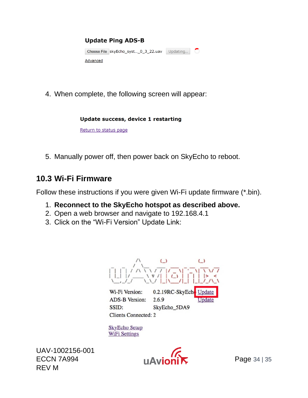

4. When complete, the following screen will appear:

#### Update success, device 1 restarting

Return to status page

5. Manually power off, then power back on SkyEcho to reboot.

#### <span id="page-33-0"></span>**10.3 Wi-Fi Firmware**

Follow these instructions if you were given Wi-Fi update firmware (\*.bin).

- 1. **Reconnect to the SkyEcho hotspot as described above.**
- 2. Open a web browser and navigate to 192.168.4.1
- 3. Click on the "Wi-Fi Version" Update Link:



SSID: SkyEcho\_5DA9 Clients Connected: 2

**SkyEcho Setup WiFi Settings** 

UAV-1002156-001  $ECCN 7A994$   $HAVion'$  Page 34 | 35 REV M